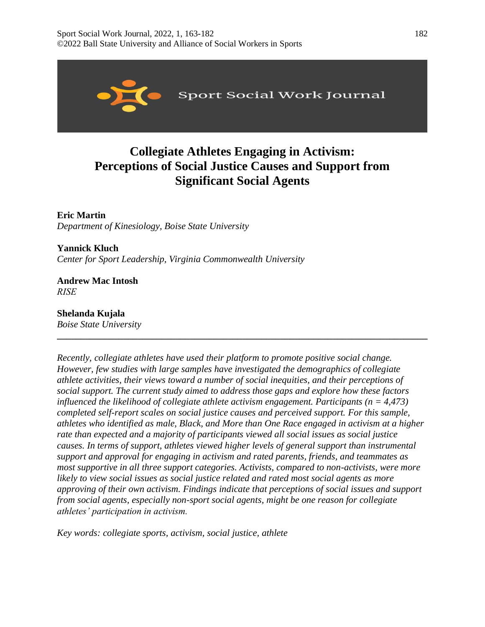

# **Collegiate Athletes Engaging in Activism: Perceptions of Social Justice Causes and Support from Significant Social Agents**

**Eric Martin**  *Department of Kinesiology, Boise State University* 

**Yannick Kluch**  *Center for Sport Leadership, Virginia Commonwealth University* 

**Andrew Mac Intosh**  *RISE*

**Shelanda Kujala**  *Boise State University* 

*Recently, collegiate athletes have used their platform to promote positive social change. However, few studies with large samples have investigated the demographics of collegiate athlete activities, their views toward a number of social inequities, and their perceptions of social support. The current study aimed to address those gaps and explore how these factors influenced the likelihood of collegiate athlete activism engagement. Participants (* $n = 4,473$ *) completed self-report scales on social justice causes and perceived support. For this sample, athletes who identified as male, Black, and More than One Race engaged in activism at a higher rate than expected and a majority of participants viewed all social issues as social justice causes. In terms of support, athletes viewed higher levels of general support than instrumental support and approval for engaging in activism and rated parents, friends, and teammates as most supportive in all three support categories. Activists, compared to non-activists, were more likely to view social issues as social justice related and rated most social agents as more approving of their own activism. Findings indicate that perceptions of social issues and support from social agents, especially non-sport social agents, might be one reason for collegiate athletes' participation in activism.* 

**\_\_\_\_\_\_\_\_\_\_\_\_\_\_\_\_\_\_\_\_\_\_\_\_\_\_\_\_\_\_\_\_\_\_\_\_\_\_\_\_\_\_\_\_\_\_\_\_\_\_\_\_\_\_\_\_\_\_\_\_\_\_\_\_\_\_\_\_\_\_\_\_\_\_\_\_\_\_** 

*Key words: collegiate sports, activism, social justice, athlete*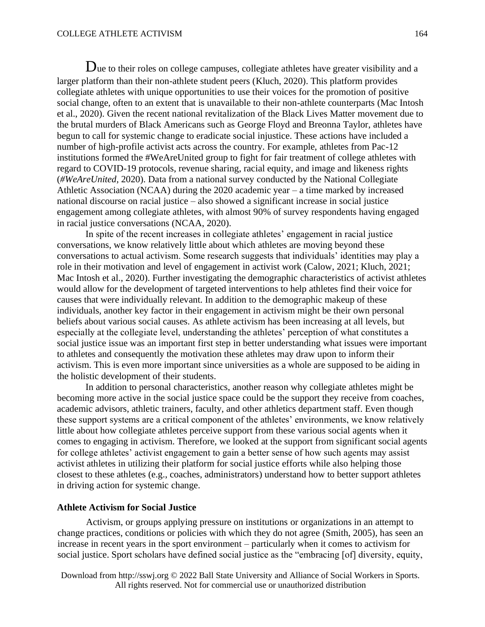Due to their roles on college campuses, collegiate athletes have greater visibility and a larger platform than their non-athlete student peers (Kluch, 2020). This platform provides collegiate athletes with unique opportunities to use their voices for the promotion of positive social change, often to an extent that is unavailable to their non-athlete counterparts (Mac Intosh et al., 2020). Given the recent national revitalization of the Black Lives Matter movement due to the brutal murders of Black Americans such as George Floyd and Breonna Taylor, athletes have begun to call for systemic change to eradicate social injustice. These actions have included a number of high-profile activist acts across the country. For example, athletes from Pac-12 institutions formed the #WeAreUnited group to fight for fair treatment of college athletes with regard to COVID-19 protocols, revenue sharing, racial equity, and image and likeness rights (*#WeAreUnited*, 2020). Data from a national survey conducted by the National Collegiate Athletic Association (NCAA) during the 2020 academic year – a time marked by increased national discourse on racial justice – also showed a significant increase in social justice engagement among collegiate athletes, with almost 90% of survey respondents having engaged in racial justice conversations (NCAA, 2020).

In spite of the recent increases in collegiate athletes' engagement in racial justice conversations, we know relatively little about which athletes are moving beyond these conversations to actual activism. Some research suggests that individuals' identities may play a role in their motivation and level of engagement in activist work (Calow, 2021; Kluch, 2021; Mac Intosh et al., 2020). Further investigating the demographic characteristics of activist athletes would allow for the development of targeted interventions to help athletes find their voice for causes that were individually relevant. In addition to the demographic makeup of these individuals, another key factor in their engagement in activism might be their own personal beliefs about various social causes. As athlete activism has been increasing at all levels, but especially at the collegiate level, understanding the athletes' perception of what constitutes a social justice issue was an important first step in better understanding what issues were important to athletes and consequently the motivation these athletes may draw upon to inform their activism. This is even more important since universities as a whole are supposed to be aiding in the holistic development of their students.

In addition to personal characteristics, another reason why collegiate athletes might be becoming more active in the social justice space could be the support they receive from coaches, academic advisors, athletic trainers, faculty, and other athletics department staff. Even though these support systems are a critical component of the athletes' environments, we know relatively little about how collegiate athletes perceive support from these various social agents when it comes to engaging in activism. Therefore, we looked at the support from significant social agents for college athletes' activist engagement to gain a better sense of how such agents may assist activist athletes in utilizing their platform for social justice efforts while also helping those closest to these athletes (e.g., coaches, administrators) understand how to better support athletes in driving action for systemic change.

#### **Athlete Activism for Social Justice**

Activism, or groups applying pressure on institutions or organizations in an attempt to change practices, conditions or policies with which they do not agree (Smith, 2005), has seen an increase in recent years in the sport environment – particularly when it comes to activism for social justice. Sport scholars have defined social justice as the "embracing [of] diversity, equity,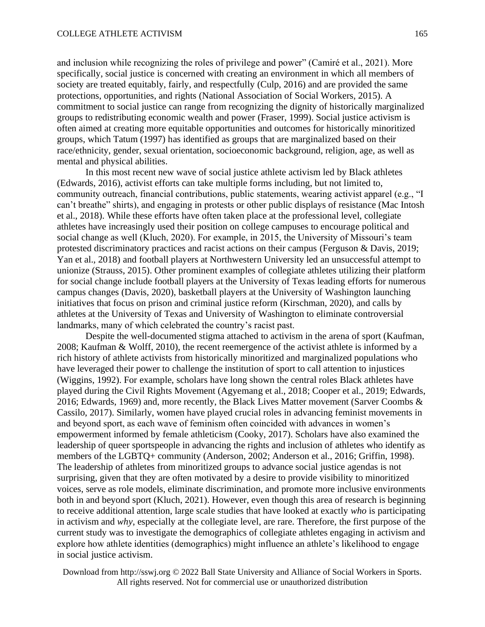and inclusion while recognizing the roles of privilege and power" (Camiré et al., 2021). More specifically, social justice is concerned with creating an environment in which all members of society are treated equitably, fairly, and respectfully (Culp, 2016) and are provided the same protections, opportunities, and rights (National Association of Social Workers, 2015). A commitment to social justice can range from recognizing the dignity of historically marginalized groups to redistributing economic wealth and power (Fraser, 1999). Social justice activism is often aimed at creating more equitable opportunities and outcomes for historically minoritized groups, which Tatum (1997) has identified as groups that are marginalized based on their race/ethnicity, gender, sexual orientation, socioeconomic background, religion, age, as well as mental and physical abilities.

In this most recent new wave of social justice athlete activism led by Black athletes (Edwards, 2016), activist efforts can take multiple forms including, but not limited to, community outreach, financial contributions, public statements, wearing activist apparel (e.g., "I can't breathe" shirts), and engaging in protests or other public displays of resistance (Mac Intosh et al., 2018). While these efforts have often taken place at the professional level, collegiate athletes have increasingly used their position on college campuses to encourage political and social change as well (Kluch, 2020). For example, in 2015, the University of Missouri's team protested discriminatory practices and racist actions on their campus (Ferguson & Davis, 2019; Yan et al., 2018) and football players at Northwestern University led an unsuccessful attempt to unionize (Strauss, 2015). Other prominent examples of collegiate athletes utilizing their platform for social change include football players at the University of Texas leading efforts for numerous campus changes (Davis, 2020), basketball players at the University of Washington launching initiatives that focus on prison and criminal justice reform (Kirschman, 2020), and calls by athletes at the University of Texas and University of Washington to eliminate controversial landmarks, many of which celebrated the country's racist past.

Despite the well-documented stigma attached to activism in the arena of sport (Kaufman, 2008; Kaufman & Wolff, 2010), the recent reemergence of the activist athlete is informed by a rich history of athlete activists from historically minoritized and marginalized populations who have leveraged their power to challenge the institution of sport to call attention to injustices (Wiggins, 1992). For example, scholars have long shown the central roles Black athletes have played during the Civil Rights Movement (Agyemang et al., 2018; Cooper et al., 2019; Edwards, 2016; Edwards, 1969) and, more recently, the Black Lives Matter movement (Sarver Coombs  $\&$ Cassilo, 2017). Similarly, women have played crucial roles in advancing feminist movements in and beyond sport, as each wave of feminism often coincided with advances in women's empowerment informed by female athleticism (Cooky, 2017). Scholars have also examined the leadership of queer sportspeople in advancing the rights and inclusion of athletes who identify as members of the LGBTQ+ community (Anderson, 2002; Anderson et al., 2016; Griffin, 1998). The leadership of athletes from minoritized groups to advance social justice agendas is not surprising, given that they are often motivated by a desire to provide visibility to minoritized voices, serve as role models, eliminate discrimination, and promote more inclusive environments both in and beyond sport (Kluch, 2021). However, even though this area of research is beginning to receive additional attention, large scale studies that have looked at exactly *who* is participating in activism and *why*, especially at the collegiate level, are rare. Therefore, the first purpose of the current study was to investigate the demographics of collegiate athletes engaging in activism and explore how athlete identities (demographics) might influence an athlete's likelihood to engage in social justice activism.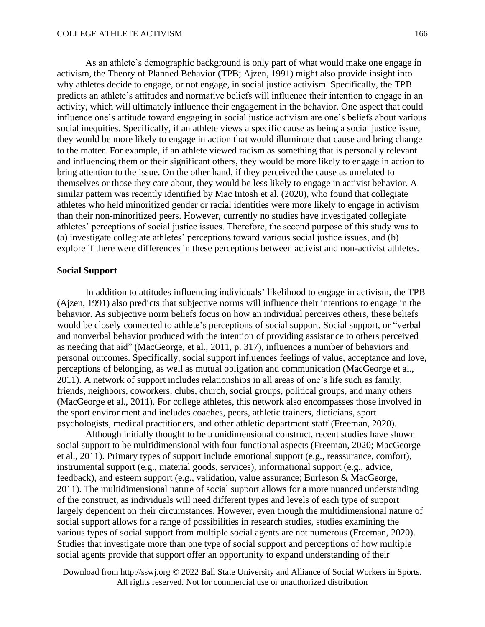As an athlete's demographic background is only part of what would make one engage in activism, the Theory of Planned Behavior (TPB; Ajzen, 1991) might also provide insight into why athletes decide to engage, or not engage, in social justice activism. Specifically, the TPB predicts an athlete's attitudes and normative beliefs will influence their intention to engage in an activity, which will ultimately influence their engagement in the behavior. One aspect that could influence one's attitude toward engaging in social justice activism are one's beliefs about various social inequities. Specifically, if an athlete views a specific cause as being a social justice issue, they would be more likely to engage in action that would illuminate that cause and bring change to the matter. For example, if an athlete viewed racism as something that is personally relevant and influencing them or their significant others, they would be more likely to engage in action to bring attention to the issue. On the other hand, if they perceived the cause as unrelated to themselves or those they care about, they would be less likely to engage in activist behavior. A similar pattern was recently identified by Mac Intosh et al. (2020), who found that collegiate athletes who held minoritized gender or racial identities were more likely to engage in activism than their non-minoritized peers. However, currently no studies have investigated collegiate athletes' perceptions of social justice issues. Therefore, the second purpose of this study was to (a) investigate collegiate athletes' perceptions toward various social justice issues, and (b) explore if there were differences in these perceptions between activist and non-activist athletes.

#### **Social Support**

In addition to attitudes influencing individuals' likelihood to engage in activism, the TPB (Ajzen, 1991) also predicts that subjective norms will influence their intentions to engage in the behavior. As subjective norm beliefs focus on how an individual perceives others, these beliefs would be closely connected to athlete's perceptions of social support. Social support, or "verbal and nonverbal behavior produced with the intention of providing assistance to others perceived as needing that aid" (MacGeorge, et al., 2011, p. 317), influences a number of behaviors and personal outcomes. Specifically, social support influences feelings of value, acceptance and love, perceptions of belonging, as well as mutual obligation and communication (MacGeorge et al., 2011). A network of support includes relationships in all areas of one's life such as family, friends, neighbors, coworkers, clubs, church, social groups, political groups, and many others (MacGeorge et al., 2011). For college athletes, this network also encompasses those involved in the sport environment and includes coaches, peers, athletic trainers, dieticians, sport psychologists, medical practitioners, and other athletic department staff (Freeman, 2020).

Although initially thought to be a unidimensional construct, recent studies have shown social support to be multidimensional with four functional aspects (Freeman, 2020; MacGeorge et al., 2011). Primary types of support include emotional support (e.g., reassurance, comfort), instrumental support (e.g., material goods, services), informational support (e.g., advice, feedback), and esteem support (e.g., validation, value assurance; Burleson & MacGeorge, 2011). The multidimensional nature of social support allows for a more nuanced understanding of the construct, as individuals will need different types and levels of each type of support largely dependent on their circumstances. However, even though the multidimensional nature of social support allows for a range of possibilities in research studies, studies examining the various types of social support from multiple social agents are not numerous (Freeman, 2020). Studies that investigate more than one type of social support and perceptions of how multiple social agents provide that support offer an opportunity to expand understanding of their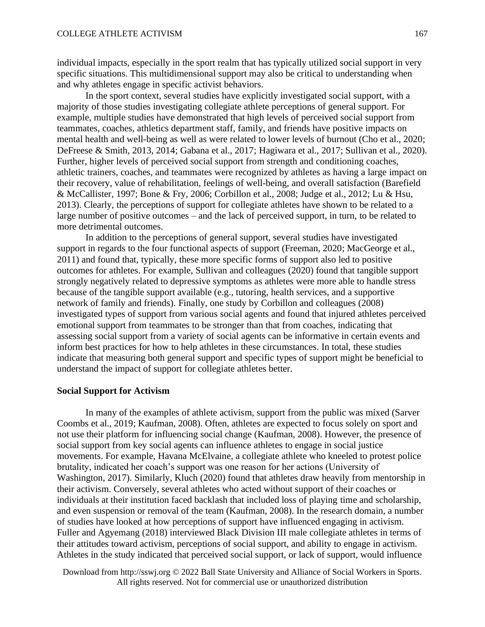individual impacts, especially in the sport realm that has typically utilized social support in very specific situations. This multidimensional support may also be critical to understanding when and why athletes engage in specific activist behaviors.

In the sport context, several studies have explicitly investigated social support, with a majority of those studies investigating collegiate athlete perceptions of general support. For example, multiple studies have demonstrated that high levels of perceived social support from teammates, coaches, athletics department staff, family, and friends have positive impacts on mental health and well-being as well as were related to lower levels of burnout (Cho et al., 2020; DeFreese & Smith, 2013, 2014; Gabana et al., 2017; Hagiwara et al., 2017; Sullivan et al., 2020). Further, higher levels of perceived social support from strength and conditioning coaches, athletic trainers, coaches, and teammates were recognized by athletes as having a large impact on their recovery, value of rehabilitation, feelings of well-being, and overall satisfaction (Barefield & McCallister, 1997; Bone & Fry, 2006; Corbillon et al., 2008; Judge et al., 2012; Lu & Hsu, 2013). Clearly, the perceptions of support for collegiate athletes have shown to be related to a large number of positive outcomes – and the lack of perceived support, in turn, to be related to more detrimental outcomes.

In addition to the perceptions of general support, several studies have investigated support in regards to the four functional aspects of support (Freeman, 2020; MacGeorge et al., 2011) and found that, typically, these more specific forms of support also led to positive outcomes for athletes. For example, Sullivan and colleagues (2020) found that tangible support strongly negatively related to depressive symptoms as athletes were more able to handle stress because of the tangible support available (e.g., tutoring, health services, and a supportive network of family and friends). Finally, one study by Corbillon and colleagues (2008) investigated types of support from various social agents and found that injured athletes perceived emotional support from teammates to be stronger than that from coaches, indicating that assessing social support from a variety of social agents can be informative in certain events and inform best practices for how to help athletes in these circumstances. In total, these studies indicate that measuring both general support and specific types of support might be beneficial to understand the impact of support for collegiate athletes better.

#### **Social Support for Activism**

In many of the examples of athlete activism, support from the public was mixed (Sarver Coombs et al., 2019; Kaufman, 2008). Often, athletes are expected to focus solely on sport and not use their platform for influencing social change (Kaufman, 2008). However, the presence of social support from key social agents can influence athletes to engage in social justice movements. For example, Havana McElvaine, a collegiate athlete who kneeled to protest police brutality, indicated her coach's support was one reason for her actions (University of Washington, 2017). Similarly, Kluch (2020) found that athletes draw heavily from mentorship in their activism. Conversely, several athletes who acted without support of their coaches or individuals at their institution faced backlash that included loss of playing time and scholarship, and even suspension or removal of the team (Kaufman, 2008). In the research domain, a number of studies have looked at how perceptions of support have influenced engaging in activism. Fuller and Agyemang (2018) interviewed Black Division III male collegiate athletes in terms of their attitudes toward activism, perceptions of social support, and ability to engage in activism. Athletes in the study indicated that perceived social support, or lack of support, would influence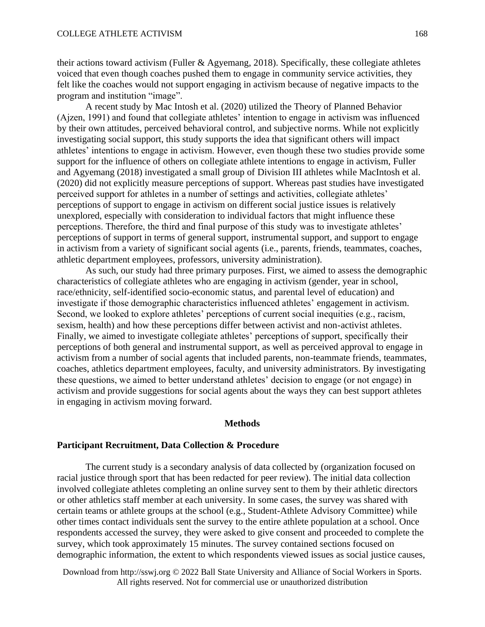their actions toward activism (Fuller  $\&$  Agyemang, 2018). Specifically, these collegiate athletes voiced that even though coaches pushed them to engage in community service activities, they felt like the coaches would not support engaging in activism because of negative impacts to the program and institution "image".

A recent study by Mac Intosh et al. (2020) utilized the Theory of Planned Behavior (Ajzen, 1991) and found that collegiate athletes' intention to engage in activism was influenced by their own attitudes, perceived behavioral control, and subjective norms. While not explicitly investigating social support, this study supports the idea that significant others will impact athletes' intentions to engage in activism. However, even though these two studies provide some support for the influence of others on collegiate athlete intentions to engage in activism, Fuller and Agyemang (2018) investigated a small group of Division III athletes while MacIntosh et al. (2020) did not explicitly measure perceptions of support. Whereas past studies have investigated perceived support for athletes in a number of settings and activities, collegiate athletes' perceptions of support to engage in activism on different social justice issues is relatively unexplored, especially with consideration to individual factors that might influence these perceptions. Therefore, the third and final purpose of this study was to investigate athletes' perceptions of support in terms of general support, instrumental support, and support to engage in activism from a variety of significant social agents (i.e., parents, friends, teammates, coaches, athletic department employees, professors, university administration).

As such, our study had three primary purposes. First, we aimed to assess the demographic characteristics of collegiate athletes who are engaging in activism (gender, year in school, race/ethnicity, self-identified socio-economic status, and parental level of education) and investigate if those demographic characteristics influenced athletes' engagement in activism. Second, we looked to explore athletes' perceptions of current social inequities (e.g., racism, sexism, health) and how these perceptions differ between activist and non-activist athletes. Finally, we aimed to investigate collegiate athletes' perceptions of support, specifically their perceptions of both general and instrumental support, as well as perceived approval to engage in activism from a number of social agents that included parents, non-teammate friends, teammates, coaches, athletics department employees, faculty, and university administrators. By investigating these questions, we aimed to better understand athletes' decision to engage (or not engage) in activism and provide suggestions for social agents about the ways they can best support athletes in engaging in activism moving forward.

# **Methods**

#### **Participant Recruitment, Data Collection & Procedure**

The current study is a secondary analysis of data collected by (organization focused on racial justice through sport that has been redacted for peer review). The initial data collection involved collegiate athletes completing an online survey sent to them by their athletic directors or other athletics staff member at each university. In some cases, the survey was shared with certain teams or athlete groups at the school (e.g., Student-Athlete Advisory Committee) while other times contact individuals sent the survey to the entire athlete population at a school. Once respondents accessed the survey, they were asked to give consent and proceeded to complete the survey, which took approximately 15 minutes. The survey contained sections focused on demographic information, the extent to which respondents viewed issues as social justice causes,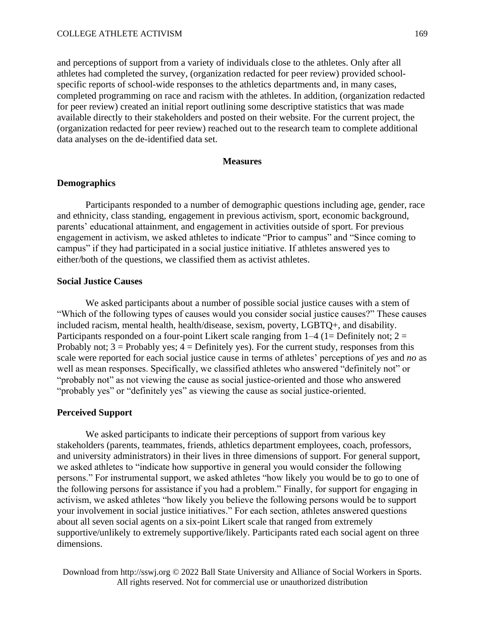and perceptions of support from a variety of individuals close to the athletes. Only after all athletes had completed the survey, (organization redacted for peer review) provided schoolspecific reports of school-wide responses to the athletics departments and, in many cases, completed programming on race and racism with the athletes. In addition, (organization redacted for peer review) created an initial report outlining some descriptive statistics that was made available directly to their stakeholders and posted on their website. For the current project, the (organization redacted for peer review) reached out to the research team to complete additional data analyses on the de-identified data set.

#### **Measures**

# **Demographics**

Participants responded to a number of demographic questions including age, gender, race and ethnicity, class standing, engagement in previous activism, sport, economic background, parents' educational attainment, and engagement in activities outside of sport. For previous engagement in activism, we asked athletes to indicate "Prior to campus" and "Since coming to campus" if they had participated in a social justice initiative. If athletes answered yes to either/both of the questions, we classified them as activist athletes.

#### **Social Justice Causes**

We asked participants about a number of possible social justice causes with a stem of "Which of the following types of causes would you consider social justice causes?" These causes included racism, mental health, health/disease, sexism, poverty, LGBTQ+, and disability. Participants responded on a four-point Likert scale ranging from  $1-4$  (1= Definitely not; 2 = Probably not;  $3 =$  Probably yes;  $4 =$  Definitely yes). For the current study, responses from this scale were reported for each social justice cause in terms of athletes' perceptions of *yes* and *no* as well as mean responses. Specifically, we classified athletes who answered "definitely not" or "probably not" as not viewing the cause as social justice-oriented and those who answered "probably yes" or "definitely yes" as viewing the cause as social justice-oriented.

#### **Perceived Support**

We asked participants to indicate their perceptions of support from various key stakeholders (parents, teammates, friends, athletics department employees, coach, professors, and university administrators) in their lives in three dimensions of support. For general support, we asked athletes to "indicate how supportive in general you would consider the following persons." For instrumental support, we asked athletes "how likely you would be to go to one of the following persons for assistance if you had a problem." Finally, for support for engaging in activism, we asked athletes "how likely you believe the following persons would be to support your involvement in social justice initiatives." For each section, athletes answered questions about all seven social agents on a six-point Likert scale that ranged from extremely supportive/unlikely to extremely supportive/likely. Participants rated each social agent on three dimensions.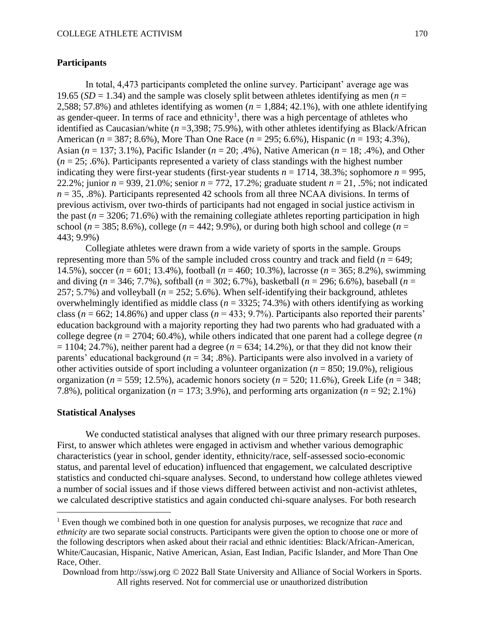# **Participants**

In total, 4,473 participants completed the online survey. Participant' average age was 19.65 ( $SD = 1.34$ ) and the sample was closely split between athletes identifying as men ( $n =$ 2,588; 57.8%) and athletes identifying as women  $(n = 1.884; 42.1\%)$ , with one athlete identifying as gender-queer. In terms of race and ethnicity<sup>1</sup>, there was a high percentage of athletes who identified as Caucasian/white (*n* =3,398; 75.9%), with other athletes identifying as Black/African American (*n* = 387; 8.6%), More Than One Race (*n* = 295; 6.6%), Hispanic (*n* = 193; 4.3%), Asian (*n* = 137; 3.1%), Pacific Islander (*n* = 20; .4%), Native American (*n* = 18; .4%), and Other  $(n = 25; .6\%)$ . Participants represented a variety of class standings with the highest number indicating they were first-year students (first-year students  $n = 1714$ , 38.3%; sophomore  $n = 995$ , 22.2%; junior *n* = 939, 21.0%; senior *n* = 772, 17.2%; graduate student *n* = 21, .5%; not indicated  $n = 35$ , .8%). Participants represented 42 schools from all three NCAA divisions. In terms of previous activism, over two-thirds of participants had not engaged in social justice activism in the past  $(n = 3206; 71.6%)$  with the remaining collegiate athletes reporting participation in high school ( $n = 385$ ; 8.6%), college ( $n = 442$ ; 9.9%), or during both high school and college ( $n =$ 443; 9.9%)

Collegiate athletes were drawn from a wide variety of sports in the sample. Groups representing more than 5% of the sample included cross country and track and field (*n* = 649; 14.5%), soccer (*n* = 601; 13.4%), football (*n* = 460; 10.3%), lacrosse (*n* = 365; 8.2%), swimming and diving (*n* = 346; 7.7%), softball (*n* = 302; 6.7%), basketball (*n* = 296; 6.6%), baseball (*n* = 257; 5.7%) and volleyball  $(n = 252; 5.6\%)$ . When self-identifying their background, athletes overwhelmingly identified as middle class (*n* = 3325; 74.3%) with others identifying as working class ( $n = 662$ ; 14.86%) and upper class ( $n = 433$ ; 9.7%). Participants also reported their parents' education background with a majority reporting they had two parents who had graduated with a college degree ( $n = 2704$ ; 60.4%), while others indicated that one parent had a college degree ( $n$  $= 1104$ ; 24.7%), neither parent had a degree ( $n = 634$ ; 14.2%), or that they did not know their parents' educational background (*n* = 34; .8%). Participants were also involved in a variety of other activities outside of sport including a volunteer organization (*n* = 850; 19.0%), religious organization ( $n = 559$ ; 12.5%), academic honors society ( $n = 520$ ; 11.6%), Greek Life ( $n = 348$ ; 7.8%), political organization ( $n = 173$ ; 3.9%), and performing arts organization ( $n = 92$ ; 2.1%)

#### **Statistical Analyses**

We conducted statistical analyses that aligned with our three primary research purposes. First, to answer which athletes were engaged in activism and whether various demographic characteristics (year in school, gender identity, ethnicity/race, self-assessed socio-economic status, and parental level of education) influenced that engagement, we calculated descriptive statistics and conducted chi-square analyses. Second, to understand how college athletes viewed a number of social issues and if those views differed between activist and non-activist athletes, we calculated descriptive statistics and again conducted chi-square analyses. For both research

<sup>1</sup> Even though we combined both in one question for analysis purposes, we recognize that *race* and *ethnicity* are two separate social constructs. Participants were given the option to choose one or more of the following descriptors when asked about their racial and ethnic identities: Black/African-American, White/Caucasian, Hispanic, Native American, Asian, East Indian, Pacific Islander, and More Than One Race, Other.

Download from http://sswj.org © 2022 Ball State University and Alliance of Social Workers in Sports. All rights reserved. Not for commercial use or unauthorized distribution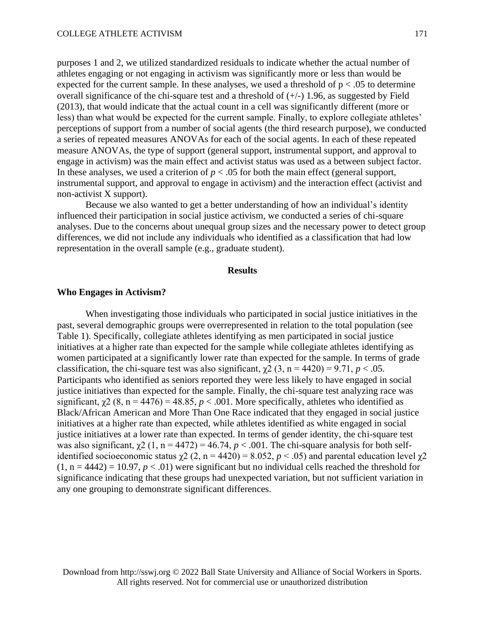purposes 1 and 2, we utilized standardized residuals to indicate whether the actual number of athletes engaging or not engaging in activism was significantly more or less than would be expected for the current sample. In these analyses, we used a threshold of  $p < .05$  to determine overall significance of the chi-square test and a threshold of  $(+/-)$  1.96, as suggested by Field (2013), that would indicate that the actual count in a cell was significantly different (more or less) than what would be expected for the current sample. Finally, to explore collegiate athletes' perceptions of support from a number of social agents (the third research purpose), we conducted a series of repeated measures ANOVAs for each of the social agents. In each of these repeated measure ANOVAs, the type of support (general support, instrumental support, and approval to engage in activism) was the main effect and activist status was used as a between subject factor. In these analyses, we used a criterion of  $p < .05$  for both the main effect (general support, instrumental support, and approval to engage in activism) and the interaction effect (activist and non-activist X support).

Because we also wanted to get a better understanding of how an individual's identity influenced their participation in social justice activism, we conducted a series of chi-square analyses. Due to the concerns about unequal group sizes and the necessary power to detect group differences, we did not include any individuals who identified as a classification that had low representation in the overall sample (e.g., graduate student).

#### **Results**

#### **Who Engages in Activism?**

When investigating those individuals who participated in social justice initiatives in the past, several demographic groups were overrepresented in relation to the total population (see Table 1). Specifically, collegiate athletes identifying as men participated in social justice initiatives at a higher rate than expected for the sample while collegiate athletes identifying as women participated at a significantly lower rate than expected for the sample. In terms of grade classification, the chi-square test was also significant,  $\chi$ 2 (3, n = 4420) = 9.71, *p* < .05. Participants who identified as seniors reported they were less likely to have engaged in social justice initiatives than expected for the sample. Finally, the chi-square test analyzing race was significant,  $\chi^2$  (8, n = 4476) = 48.85, *p* < .001. More specifically, athletes who identified as Black/African American and More Than One Race indicated that they engaged in social justice initiatives at a higher rate than expected, while athletes identified as white engaged in social justice initiatives at a lower rate than expected. In terms of gender identity, the chi-square test was also significant,  $\chi$ 2 (1, n = 4472) = 46.74,  $p < .001$ . The chi-square analysis for both selfidentified socioeconomic status  $\chi^2$  (2, n = 4420) = 8.052, p < .05) and parental education level  $\chi^2$  $(1, n = 4442) = 10.97, p < .01$ ) were significant but no individual cells reached the threshold for significance indicating that these groups had unexpected variation, but not sufficient variation in any one grouping to demonstrate significant differences.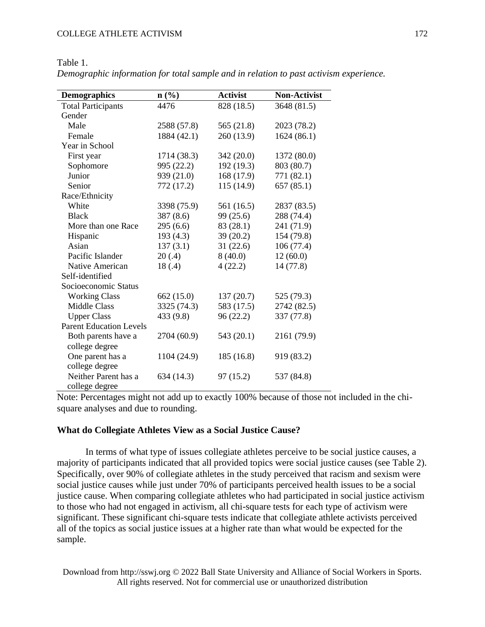| <b>Demographics</b>            | n(%)        | <b>Activist</b> | <b>Non-Activist</b> |  |
|--------------------------------|-------------|-----------------|---------------------|--|
| <b>Total Participants</b>      | 4476        | 828 (18.5)      | 3648 (81.5)         |  |
| Gender                         |             |                 |                     |  |
| Male                           | 2588 (57.8) | 565 (21.8)      | 2023 (78.2)         |  |
| Female                         | 1884 (42.1) | 260 (13.9)      | 1624(86.1)          |  |
| Year in School                 |             |                 |                     |  |
| First year                     | 1714 (38.3) | 342 (20.0)      | 1372 (80.0)         |  |
| Sophomore                      | 995 (22.2)  | 192 (19.3)      | 803 (80.7)          |  |
| Junior                         | 939 (21.0)  | 168 (17.9)      | 771 (82.1)          |  |
| Senior                         | 772 (17.2)  | 115 (14.9)      | 657(85.1)           |  |
| Race/Ethnicity                 |             |                 |                     |  |
| White                          | 3398 (75.9) | 561 (16.5)      | 2837 (83.5)         |  |
| <b>Black</b>                   | 387 (8.6)   | 99 (25.6)       | 288 (74.4)          |  |
| More than one Race             | 295 (6.6)   | 83 (28.1)       | 241 (71.9)          |  |
| Hispanic                       | 193(4.3)    | 39(20.2)        | 154 (79.8)          |  |
| Asian                          | 137(3.1)    | 31(22.6)        | 106(77.4)           |  |
| Pacific Islander               | 20(.4)      | 8(40.0)         | 12(60.0)            |  |
| Native American                | 18(.4)      | 4(22.2)         |                     |  |
| Self-identified                |             |                 |                     |  |
| Socioeconomic Status           |             |                 |                     |  |
| <b>Working Class</b>           | 662(15.0)   | 137(20.7)       | 525 (79.3)          |  |
| <b>Middle Class</b>            | 3325 (74.3) | 583 (17.5)      | 2742 (82.5)         |  |
| <b>Upper Class</b>             | 433 (9.8)   | 96(22.2)        | 337 (77.8)          |  |
| <b>Parent Education Levels</b> |             |                 |                     |  |
| Both parents have a            | 2704 (60.9) | 543 (20.1)      | 2161 (79.9)         |  |
| college degree                 |             |                 |                     |  |
| One parent has a               | 1104 (24.9) | 185 (16.8)      | 919 (83.2)          |  |
| college degree                 |             |                 |                     |  |
| Neither Parent has a           | 634 (14.3)  | 97 (15.2)       | 537 (84.8)          |  |
| college degree                 |             |                 |                     |  |

Table 1. *Demographic information for total sample and in relation to past activism experience.* 

Note: Percentages might not add up to exactly 100% because of those not included in the chisquare analyses and due to rounding.

## **What do Collegiate Athletes View as a Social Justice Cause?**

In terms of what type of issues collegiate athletes perceive to be social justice causes, a majority of participants indicated that all provided topics were social justice causes (see Table 2). Specifically, over 90% of collegiate athletes in the study perceived that racism and sexism were social justice causes while just under 70% of participants perceived health issues to be a social justice cause. When comparing collegiate athletes who had participated in social justice activism to those who had not engaged in activism, all chi-square tests for each type of activism were significant. These significant chi-square tests indicate that collegiate athlete activists perceived all of the topics as social justice issues at a higher rate than what would be expected for the sample.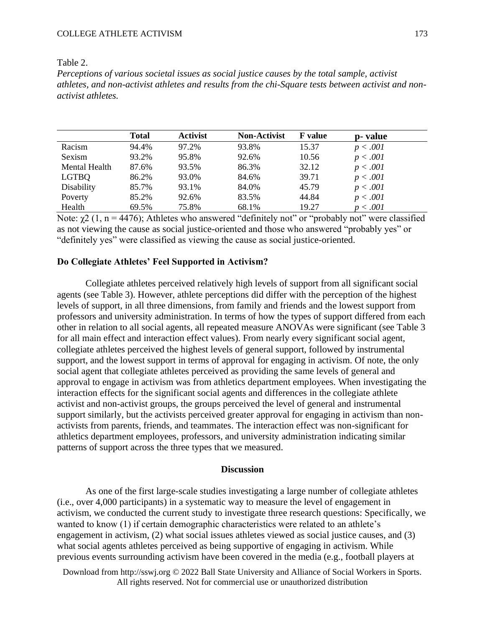#### COLLEGE ATHLETE ACTIVISM

| ۰ц. | n<br>4F |  |  |
|-----|---------|--|--|
|-----|---------|--|--|

*Perceptions of various societal issues as social justice causes by the total sample, activist athletes, and non-activist athletes and results from the chi-Square tests between activist and nonactivist athletes.* 

|               | <b>Total</b> | <b>Activist</b> | <b>Non-Activist</b> | <b>F</b> value | p- value |
|---------------|--------------|-----------------|---------------------|----------------|----------|
| Racism        | 94.4%        | 97.2%           | 93.8%               | 15.37          | p < .001 |
| Sexism        | 93.2%        | 95.8%           | 92.6%               | 10.56          | p < .001 |
| Mental Health | 87.6%        | 93.5%           | 86.3%               | 32.12          | p < .001 |
| <b>LGTBQ</b>  | 86.2%        | 93.0%           | 84.6%               | 39.71          | p < .001 |
| Disability    | 85.7%        | 93.1%           | 84.0%               | 45.79          | p < .001 |
| Poverty       | 85.2%        | 92.6%           | 83.5%               | 44.84          | p < .001 |
| Health        | 69.5%        | 75.8%           | 68.1%               | 19.27          | p < .001 |

Note:  $\chi$ 2 (1, n = 4476); Athletes who answered "definitely not" or "probably not" were classified as not viewing the cause as social justice-oriented and those who answered "probably yes" or "definitely yes" were classified as viewing the cause as social justice-oriented.

# **Do Collegiate Athletes' Feel Supported in Activism?**

Collegiate athletes perceived relatively high levels of support from all significant social agents (see Table 3). However, athlete perceptions did differ with the perception of the highest levels of support, in all three dimensions, from family and friends and the lowest support from professors and university administration. In terms of how the types of support differed from each other in relation to all social agents, all repeated measure ANOVAs were significant (see Table 3 for all main effect and interaction effect values). From nearly every significant social agent, collegiate athletes perceived the highest levels of general support, followed by instrumental support, and the lowest support in terms of approval for engaging in activism. Of note, the only social agent that collegiate athletes perceived as providing the same levels of general and approval to engage in activism was from athletics department employees. When investigating the interaction effects for the significant social agents and differences in the collegiate athlete activist and non-activist groups, the groups perceived the level of general and instrumental support similarly, but the activists perceived greater approval for engaging in activism than nonactivists from parents, friends, and teammates. The interaction effect was non-significant for athletics department employees, professors, and university administration indicating similar patterns of support across the three types that we measured.

#### **Discussion**

As one of the first large-scale studies investigating a large number of collegiate athletes (i.e., over 4,000 participants) in a systematic way to measure the level of engagement in activism, we conducted the current study to investigate three research questions: Specifically, we wanted to know (1) if certain demographic characteristics were related to an athlete's engagement in activism, (2) what social issues athletes viewed as social justice causes, and (3) what social agents athletes perceived as being supportive of engaging in activism. While previous events surrounding activism have been covered in the media (e.g., football players at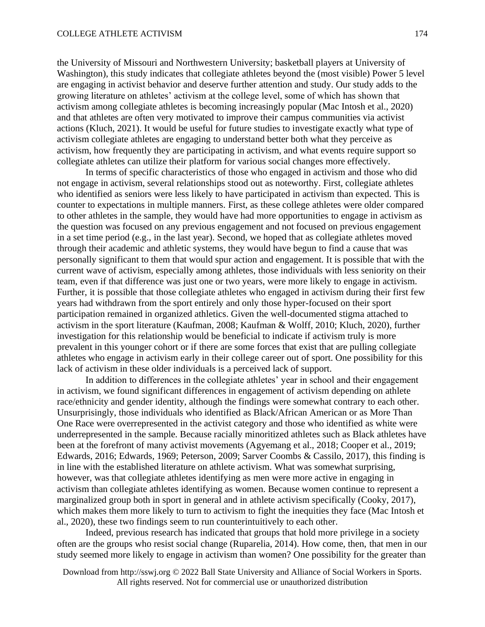the University of Missouri and Northwestern University; basketball players at University of Washington), this study indicates that collegiate athletes beyond the (most visible) Power 5 level are engaging in activist behavior and deserve further attention and study. Our study adds to the growing literature on athletes' activism at the college level, some of which has shown that activism among collegiate athletes is becoming increasingly popular (Mac Intosh et al., 2020) and that athletes are often very motivated to improve their campus communities via activist actions (Kluch, 2021). It would be useful for future studies to investigate exactly what type of activism collegiate athletes are engaging to understand better both what they perceive as activism, how frequently they are participating in activism, and what events require support so collegiate athletes can utilize their platform for various social changes more effectively.

In terms of specific characteristics of those who engaged in activism and those who did not engage in activism, several relationships stood out as noteworthy. First, collegiate athletes who identified as seniors were less likely to have participated in activism than expected. This is counter to expectations in multiple manners. First, as these college athletes were older compared to other athletes in the sample, they would have had more opportunities to engage in activism as the question was focused on any previous engagement and not focused on previous engagement in a set time period (e.g., in the last year). Second, we hoped that as collegiate athletes moved through their academic and athletic systems, they would have begun to find a cause that was personally significant to them that would spur action and engagement. It is possible that with the current wave of activism, especially among athletes, those individuals with less seniority on their team, even if that difference was just one or two years, were more likely to engage in activism. Further, it is possible that those collegiate athletes who engaged in activism during their first few years had withdrawn from the sport entirely and only those hyper-focused on their sport participation remained in organized athletics. Given the well-documented stigma attached to activism in the sport literature (Kaufman, 2008; Kaufman & Wolff, 2010; Kluch, 2020), further investigation for this relationship would be beneficial to indicate if activism truly is more prevalent in this younger cohort or if there are some forces that exist that are pulling collegiate athletes who engage in activism early in their college career out of sport. One possibility for this lack of activism in these older individuals is a perceived lack of support.

In addition to differences in the collegiate athletes' year in school and their engagement in activism, we found significant differences in engagement of activism depending on athlete race/ethnicity and gender identity, although the findings were somewhat contrary to each other. Unsurprisingly, those individuals who identified as Black/African American or as More Than One Race were overrepresented in the activist category and those who identified as white were underrepresented in the sample. Because racially minoritized athletes such as Black athletes have been at the forefront of many activist movements (Agyemang et al., 2018; Cooper et al., 2019; Edwards, 2016; Edwards, 1969; Peterson, 2009; Sarver Coombs & Cassilo, 2017), this finding is in line with the established literature on athlete activism. What was somewhat surprising, however, was that collegiate athletes identifying as men were more active in engaging in activism than collegiate athletes identifying as women. Because women continue to represent a marginalized group both in sport in general and in athlete activism specifically (Cooky, 2017), which makes them more likely to turn to activism to fight the inequities they face (Mac Intosh et al., 2020), these two findings seem to run counterintuitively to each other.

Indeed, previous research has indicated that groups that hold more privilege in a society often are the groups who resist social change (Ruparelia, 2014). How come, then, that men in our study seemed more likely to engage in activism than women? One possibility for the greater than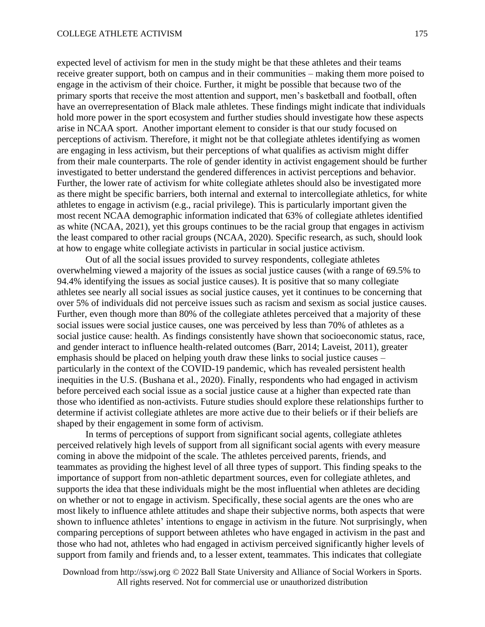expected level of activism for men in the study might be that these athletes and their teams receive greater support, both on campus and in their communities – making them more poised to engage in the activism of their choice. Further, it might be possible that because two of the primary sports that receive the most attention and support, men's basketball and football, often have an overrepresentation of Black male athletes. These findings might indicate that individuals hold more power in the sport ecosystem and further studies should investigate how these aspects arise in NCAA sport. Another important element to consider is that our study focused on perceptions of activism. Therefore, it might not be that collegiate athletes identifying as women are engaging in less activism, but their perceptions of what qualifies as activism might differ from their male counterparts. The role of gender identity in activist engagement should be further investigated to better understand the gendered differences in activist perceptions and behavior. Further, the lower rate of activism for white collegiate athletes should also be investigated more as there might be specific barriers, both internal and external to intercollegiate athletics, for white athletes to engage in activism (e.g., racial privilege). This is particularly important given the most recent NCAA demographic information indicated that 63% of collegiate athletes identified as white (NCAA, 2021), yet this groups continues to be the racial group that engages in activism the least compared to other racial groups (NCAA, 2020). Specific research, as such, should look at how to engage white collegiate activists in particular in social justice activism.

Out of all the social issues provided to survey respondents, collegiate athletes overwhelming viewed a majority of the issues as social justice causes (with a range of 69.5% to 94.4% identifying the issues as social justice causes). It is positive that so many collegiate athletes see nearly all social issues as social justice causes, yet it continues to be concerning that over 5% of individuals did not perceive issues such as racism and sexism as social justice causes. Further, even though more than 80% of the collegiate athletes perceived that a majority of these social issues were social justice causes, one was perceived by less than 70% of athletes as a social justice cause: health. As findings consistently have shown that socioeconomic status, race, and gender interact to influence health-related outcomes (Barr, 2014; Laveist, 2011), greater emphasis should be placed on helping youth draw these links to social justice causes – particularly in the context of the COVID-19 pandemic, which has revealed persistent health inequities in the U.S. (Bushana et al., 2020). Finally, respondents who had engaged in activism before perceived each social issue as a social justice cause at a higher than expected rate than those who identified as non-activists. Future studies should explore these relationships further to determine if activist collegiate athletes are more active due to their beliefs or if their beliefs are shaped by their engagement in some form of activism.

In terms of perceptions of support from significant social agents, collegiate athletes perceived relatively high levels of support from all significant social agents with every measure coming in above the midpoint of the scale. The athletes perceived parents, friends, and teammates as providing the highest level of all three types of support. This finding speaks to the importance of support from non-athletic department sources, even for collegiate athletes, and supports the idea that these individuals might be the most influential when athletes are deciding on whether or not to engage in activism. Specifically, these social agents are the ones who are most likely to influence athlete attitudes and shape their subjective norms, both aspects that were shown to influence athletes' intentions to engage in activism in the future. Not surprisingly, when comparing perceptions of support between athletes who have engaged in activism in the past and those who had not, athletes who had engaged in activism perceived significantly higher levels of support from family and friends and, to a lesser extent, teammates. This indicates that collegiate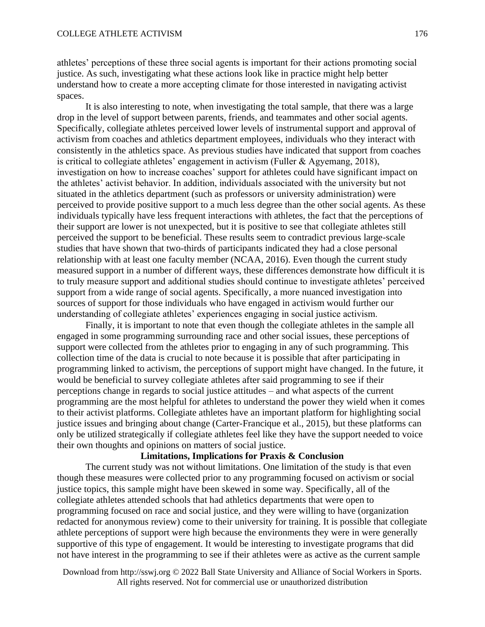athletes' perceptions of these three social agents is important for their actions promoting social justice. As such, investigating what these actions look like in practice might help better understand how to create a more accepting climate for those interested in navigating activist spaces.

It is also interesting to note, when investigating the total sample, that there was a large drop in the level of support between parents, friends, and teammates and other social agents. Specifically, collegiate athletes perceived lower levels of instrumental support and approval of activism from coaches and athletics department employees, individuals who they interact with consistently in the athletics space. As previous studies have indicated that support from coaches is critical to collegiate athletes' engagement in activism (Fuller & Agyemang, 2018), investigation on how to increase coaches' support for athletes could have significant impact on the athletes' activist behavior. In addition, individuals associated with the university but not situated in the athletics department (such as professors or university administration) were perceived to provide positive support to a much less degree than the other social agents. As these individuals typically have less frequent interactions with athletes, the fact that the perceptions of their support are lower is not unexpected, but it is positive to see that collegiate athletes still perceived the support to be beneficial. These results seem to contradict previous large-scale studies that have shown that two-thirds of participants indicated they had a close personal relationship with at least one faculty member (NCAA, 2016). Even though the current study measured support in a number of different ways, these differences demonstrate how difficult it is to truly measure support and additional studies should continue to investigate athletes' perceived support from a wide range of social agents. Specifically, a more nuanced investigation into sources of support for those individuals who have engaged in activism would further our understanding of collegiate athletes' experiences engaging in social justice activism.

Finally, it is important to note that even though the collegiate athletes in the sample all engaged in some programming surrounding race and other social issues, these perceptions of support were collected from the athletes prior to engaging in any of such programming. This collection time of the data is crucial to note because it is possible that after participating in programming linked to activism, the perceptions of support might have changed. In the future, it would be beneficial to survey collegiate athletes after said programming to see if their perceptions change in regards to social justice attitudes – and what aspects of the current programming are the most helpful for athletes to understand the power they wield when it comes to their activist platforms. Collegiate athletes have an important platform for highlighting social justice issues and bringing about change (Carter-Francique et al., 2015), but these platforms can only be utilized strategically if collegiate athletes feel like they have the support needed to voice their own thoughts and opinions on matters of social justice.

#### **Limitations, Implications for Praxis & Conclusion**

The current study was not without limitations. One limitation of the study is that even though these measures were collected prior to any programming focused on activism or social justice topics, this sample might have been skewed in some way. Specifically, all of the collegiate athletes attended schools that had athletics departments that were open to programming focused on race and social justice, and they were willing to have (organization redacted for anonymous review) come to their university for training. It is possible that collegiate athlete perceptions of support were high because the environments they were in were generally supportive of this type of engagement. It would be interesting to investigate programs that did not have interest in the programming to see if their athletes were as active as the current sample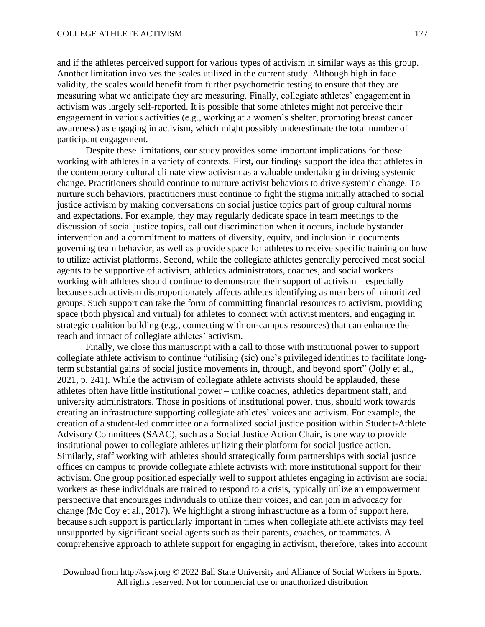and if the athletes perceived support for various types of activism in similar ways as this group. Another limitation involves the scales utilized in the current study. Although high in face validity, the scales would benefit from further psychometric testing to ensure that they are measuring what we anticipate they are measuring. Finally, collegiate athletes' engagement in activism was largely self-reported. It is possible that some athletes might not perceive their engagement in various activities (e.g., working at a women's shelter, promoting breast cancer awareness) as engaging in activism, which might possibly underestimate the total number of participant engagement.

Despite these limitations, our study provides some important implications for those working with athletes in a variety of contexts. First, our findings support the idea that athletes in the contemporary cultural climate view activism as a valuable undertaking in driving systemic change. Practitioners should continue to nurture activist behaviors to drive systemic change. To nurture such behaviors, practitioners must continue to fight the stigma initially attached to social justice activism by making conversations on social justice topics part of group cultural norms and expectations. For example, they may regularly dedicate space in team meetings to the discussion of social justice topics, call out discrimination when it occurs, include bystander intervention and a commitment to matters of diversity, equity, and inclusion in documents governing team behavior, as well as provide space for athletes to receive specific training on how to utilize activist platforms. Second, while the collegiate athletes generally perceived most social agents to be supportive of activism, athletics administrators, coaches, and social workers working with athletes should continue to demonstrate their support of activism – especially because such activism disproportionately affects athletes identifying as members of minoritized groups. Such support can take the form of committing financial resources to activism, providing space (both physical and virtual) for athletes to connect with activist mentors, and engaging in strategic coalition building (e.g., connecting with on-campus resources) that can enhance the reach and impact of collegiate athletes' activism.

Finally, we close this manuscript with a call to those with institutional power to support collegiate athlete activism to continue "utilising (sic) one's privileged identities to facilitate longterm substantial gains of social justice movements in, through, and beyond sport" (Jolly et al., 2021, p. 241). While the activism of collegiate athlete activists should be applauded, these athletes often have little institutional power – unlike coaches, athletics department staff, and university administrators. Those in positions of institutional power, thus, should work towards creating an infrastructure supporting collegiate athletes' voices and activism. For example, the creation of a student-led committee or a formalized social justice position within Student-Athlete Advisory Committees (SAAC), such as a Social Justice Action Chair, is one way to provide institutional power to collegiate athletes utilizing their platform for social justice action. Similarly, staff working with athletes should strategically form partnerships with social justice offices on campus to provide collegiate athlete activists with more institutional support for their activism. One group positioned especially well to support athletes engaging in activism are social workers as these individuals are trained to respond to a crisis, typically utilize an empowerment perspective that encourages individuals to utilize their voices, and can join in advocacy for change (Mc Coy et al., 2017). We highlight a strong infrastructure as a form of support here, because such support is particularly important in times when collegiate athlete activists may feel unsupported by significant social agents such as their parents, coaches, or teammates. A comprehensive approach to athlete support for engaging in activism, therefore, takes into account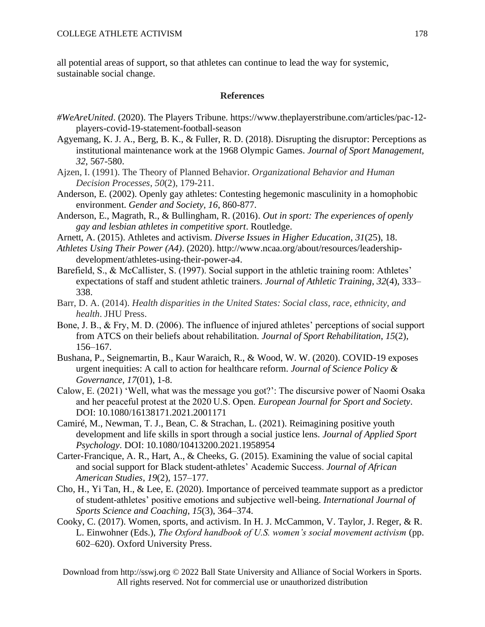all potential areas of support, so that athletes can continue to lead the way for systemic, sustainable social change.

# **References**

- *#WeAreUnited*. (2020). The Players Tribune. https://www.theplayerstribune.com/articles/pac-12 players-covid-19-statement-football-season
- Agyemang, K. J. A., Berg, B. K., & Fuller, R. D. (2018). Disrupting the disruptor: Perceptions as institutional maintenance work at the 1968 Olympic Games. *Journal of Sport Management, 32*, 567-580.
- Ajzen, I. (1991). The Theory of Planned Behavior. *Organizational Behavior and Human Decision Processes*, *50*(2), 179-211.
- Anderson, E. (2002). Openly gay athletes: Contesting hegemonic masculinity in a homophobic environment. *Gender and Society, 16*, 860-877.
- Anderson, E., Magrath, R., & Bullingham, R. (2016). *Out in sport: The experiences of openly gay and lesbian athletes in competitive sport*. Routledge.
- Arnett, A. (2015). Athletes and activism. *Diverse Issues in Higher Education*, *31*(25), 18.
- *Athletes Using Their Power (A4)*. (2020). http://www.ncaa.org/about/resources/leadershipdevelopment/athletes-using-their-power-a4.
- Barefield, S., & McCallister, S. (1997). Social support in the athletic training room: Athletes' expectations of staff and student athletic trainers. *Journal of Athletic Training*, *32*(4), 333– 338.
- Barr, D. A. (2014). *Health disparities in the United States: Social class, race, ethnicity, and health*. JHU Press.
- Bone, J. B., & Fry, M. D. (2006). The influence of injured athletes' perceptions of social support from ATCS on their beliefs about rehabilitation. *Journal of Sport Rehabilitation*, *15*(2), 156–167.
- Bushana, P., Seignemartin, B., Kaur Waraich, R., & Wood, W. W. (2020). COVID-19 exposes urgent inequities: A call to action for healthcare reform. *Journal of Science Policy & Governance, 17*(01), 1-8.
- Calow, E. (2021) 'Well, what was the message you got?': The discursive power of Naomi Osaka and her peaceful protest at the 2020 U.S. Open. *European Journal for Sport and Society*. DOI: 10.1080/16138171.2021.2001171
- Camiré, M., Newman, T. J., Bean, C. & Strachan, L. (2021). Reimagining positive youth development and life skills in sport through a social justice lens. *Journal of Applied Sport Psychology*. DOI: 10.1080/10413200.2021.1958954
- Carter-Francique, A. R., Hart, A., & Cheeks, G. (2015). Examining the value of social capital and social support for Black student-athletes' Academic Success. *Journal of African American Studies*, *19*(2), 157–177.
- Cho, H., Yi Tan, H., & Lee, E. (2020). Importance of perceived teammate support as a predictor of student-athletes' positive emotions and subjective well-being. *International Journal of Sports Science and Coaching*, *15*(3), 364–374.
- Cooky, C. (2017). Women, sports, and activism. In H. J. McCammon, V. Taylor, J. Reger, & R. L. Einwohner (Eds.), *The Oxford handbook of U.S. women's social movement activism* (pp. 602–620). Oxford University Press.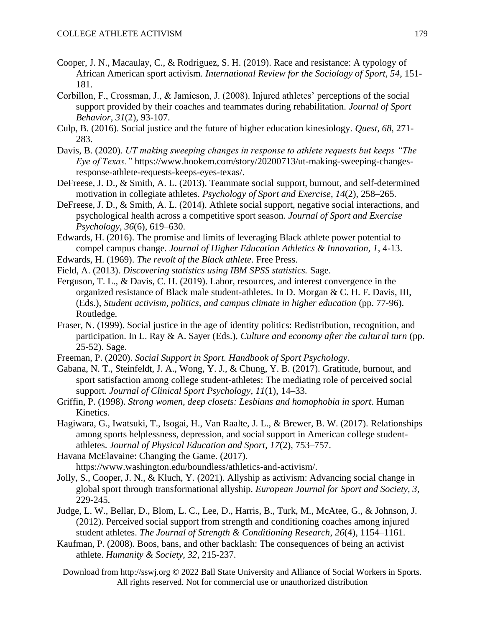- Cooper, J. N., Macaulay, C., & Rodriguez, S. H. (2019). Race and resistance: A typology of African American sport activism. *International Review for the Sociology of Sport, 54*, 151- 181.
- Corbillon, F., Crossman, J., & Jamieson, J. (2008). Injured athletes' perceptions of the social support provided by their coaches and teammates during rehabilitation. *Journal of Sport Behavior*, *31*(2), 93-107.
- Culp, B. (2016). Social justice and the future of higher education kinesiology. *Quest, 68*, 271- 283.
- Davis, B. (2020). *UT making sweeping changes in response to athlete requests but keeps "The Eye of Texas."* https://www.hookem.com/story/20200713/ut-making-sweeping-changesresponse-athlete-requests-keeps-eyes-texas/.
- DeFreese, J. D., & Smith, A. L. (2013). Teammate social support, burnout, and self-determined motivation in collegiate athletes. *Psychology of Sport and Exercise*, *14*(2), 258–265.
- DeFreese, J. D., & Smith, A. L. (2014). Athlete social support, negative social interactions, and psychological health across a competitive sport season. *Journal of Sport and Exercise Psychology*, *36*(6), 619–630.
- Edwards, H. (2016). The promise and limits of leveraging Black athlete power potential to compel campus change. *Journal of Higher Education Athletics & Innovation, 1*, 4-13.
- Edwards, H. (1969). *The revolt of the Black athlete*. Free Press.
- Field, A. (2013). *Discovering statistics using IBM SPSS statistics.* Sage.
- Ferguson, T. L., & Davis, C. H. (2019). Labor, resources, and interest convergence in the organized resistance of Black male student-athletes. In D. Morgan & C. H. F. Davis, III, (Eds.), *Student activism, politics, and campus climate in higher education* (pp. 77-96). Routledge.
- Fraser, N. (1999). Social justice in the age of identity politics: Redistribution, recognition, and participation. In L. Ray & A. Sayer (Eds.), *Culture and economy after the cultural turn* (pp. 25-52). Sage.
- Freeman, P. (2020). *Social Support in Sport. Handbook of Sport Psychology*.
- Gabana, N. T., Steinfeldt, J. A., Wong, Y. J., & Chung, Y. B. (2017). Gratitude, burnout, and sport satisfaction among college student-athletes: The mediating role of perceived social support. *Journal of Clinical Sport Psychology*, *11*(1), 14–33.
- Griffin, P. (1998). *Strong women, deep closets: Lesbians and homophobia in sport*. Human Kinetics.
- Hagiwara, G., Iwatsuki, T., Isogai, H., Van Raalte, J. L., & Brewer, B. W. (2017). Relationships among sports helplessness, depression, and social support in American college studentathletes. *Journal of Physical Education and Sport*, *17*(2), 753–757.
- Havana McElavaine: Changing the Game. (2017). https://www.washington.edu/boundless/athletics-and-activism/.
- Jolly, S., Cooper, J. N., & Kluch, Y. (2021). Allyship as activism: Advancing social change in global sport through transformational allyship. *European Journal for Sport and Society, 3,*  229-245.
- Judge, L. W., Bellar, D., Blom, L. C., Lee, D., Harris, B., Turk, M., McAtee, G., & Johnson, J. (2012). Perceived social support from strength and conditioning coaches among injured student athletes. *The Journal of Strength & Conditioning Research*, *26*(4), 1154–1161.
- Kaufman, P. (2008). Boos, bans, and other backlash: The consequences of being an activist athlete. *Humanity & Society, 32*, 215-237.
	- Download from http://sswj.org © 2022 Ball State University and Alliance of Social Workers in Sports. All rights reserved. Not for commercial use or unauthorized distribution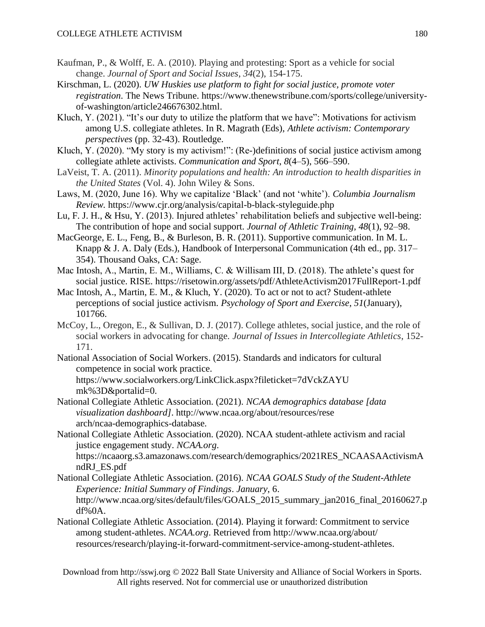- Kaufman, P., & Wolff, E. A. (2010). Playing and protesting: Sport as a vehicle for social change. *Journal of Sport and Social Issues*, *34*(2), 154-175.
- Kirschman, L. (2020). *UW Huskies use platform to fight for social justice, promote voter registration*. The News Tribune. https://www.thenewstribune.com/sports/college/universityof-washington/article246676302.html.
- Kluch, Y. (2021). "It's our duty to utilize the platform that we have": Motivations for activism among U.S. collegiate athletes. In R. Magrath (Eds), *Athlete activism: Contemporary perspectives* (pp. 32-43). Routledge.
- Kluch, Y. (2020). "My story is my activism!": (Re-)definitions of social justice activism among collegiate athlete activists. *Communication and Sport*, *8*(4–5), 566–590.
- LaVeist, T. A. (2011). *Minority populations and health: An introduction to health disparities in the United States* (Vol. 4). John Wiley & Sons.
- Laws, M. (2020, June 16). Why we capitalize 'Black' (and not 'white'). *Columbia Journalism Review.* https://www.cjr.org/analysis/capital-b-black-styleguide.php
- Lu, F. J. H., & Hsu, Y. (2013). Injured athletes' rehabilitation beliefs and subjective well-being: The contribution of hope and social support. *Journal of Athletic Training*, *48*(1), 92–98.
- MacGeorge, E. L., Feng, B., & Burleson, B. R. (2011). Supportive communication. In M. L. Knapp & J. A. Daly (Eds.), Handbook of Interpersonal Communication (4th ed., pp. 317– 354). Thousand Oaks, CA: Sage.
- Mac Intosh, A., Martin, E. M., Williams, C. & Willisam III, D. (2018). The athlete's quest for social justice. RISE. https://risetowin.org/assets/pdf/AthleteActivism2017FullReport-1.pdf
- Mac Intosh, A., Martin, E. M., & Kluch, Y. (2020). To act or not to act? Student-athlete perceptions of social justice activism. *Psychology of Sport and Exercise*, *51*(January), 101766.
- McCoy, L., Oregon, E., & Sullivan, D. J. (2017). College athletes, social justice, and the role of social workers in advocating for change. *Journal of Issues in Intercollegiate Athletics*, 152- 171.
- National Association of Social Workers. (2015). Standards and indicators for cultural competence in social work practice. https://www.socialworkers.org/LinkClick.aspx?fileticket=7dVckZAYU mk%3D&portalid=0.
- National Collegiate Athletic Association. (2021). *NCAA demographics database [data visualization dashboard]*. http://www.ncaa.org/about/resources/rese arch/ncaa-demographics-database.
- National Collegiate Athletic Association. (2020). NCAA student-athlete activism and racial justice engagement study. *NCAA.org*. https://ncaaorg.s3.amazonaws.com/research/demographics/2021RES\_NCAASAActivismA
- ndRJ\_ES.pdf National Collegiate Athletic Association. (2016). *NCAA GOALS Study of the Student-Athlete Experience: Initial Summary of Findings*. *January*, 6. http://www.ncaa.org/sites/default/files/GOALS\_2015\_summary\_jan2016\_final\_20160627.p df%0A.
- National Collegiate Athletic Association. (2014). Playing it forward: Commitment to service among student-athletes. *NCAA.org*. Retrieved from http://www.ncaa.org/about/ resources/research/playing-it-forward-commitment-service-among-student-athletes.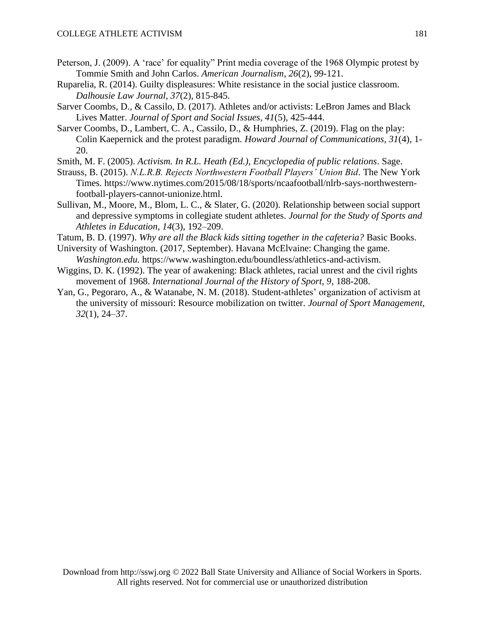- Peterson, J. (2009). A 'race' for equality" Print media coverage of the 1968 Olympic protest by Tommie Smith and John Carlos. *American Journalism, 26*(2), 99-121.
- Ruparelia, R. (2014). Guilty displeasures: White resistance in the social justice classroom. *Dalhousie Law Journal, 37*(2), 815-845.
- Sarver Coombs, D., & Cassilo, D. (2017). Athletes and/or activists: LeBron James and Black Lives Matter. *Journal of Sport and Social Issues, 41*(5), 425-444.
- Sarver Coombs, D., Lambert, C. A., Cassilo, D., & Humphries, Z. (2019). Flag on the play: Colin Kaepernick and the protest paradigm. *Howard Journal of Communications, 31*(4), 1- 20.
- Smith, M. F. (2005). *Activism. In R.L. Heath (Ed.), Encyclopedia of public relations*. Sage.
- Strauss, B. (2015). *N.L.R.B. Rejects Northwestern Football Players' Union Bid*. The New York Times. https://www.nytimes.com/2015/08/18/sports/ncaafootball/nlrb-says-northwesternfootball-players-cannot-unionize.html.
- Sullivan, M., Moore, M., Blom, L. C., & Slater, G. (2020). Relationship between social support and depressive symptoms in collegiate student athletes. *Journal for the Study of Sports and Athletes in Education*, *14*(3), 192–209.
- Tatum, B. D. (1997). *Why are all the Black kids sitting together in the cafeteria?* Basic Books.
- University of Washington. (2017, September). Havana McElvaine: Changing the game. *Washington.edu.* https://www.washington.edu/boundless/athletics-and-activism.
- Wiggins, D. K. (1992). The year of awakening: Black athletes, racial unrest and the civil rights movement of 1968. *International Journal of the History of Sport, 9*, 188-208.
- Yan, G., Pegoraro, A., & Watanabe, N. M. (2018). Student-athletes' organization of activism at the university of missouri: Resource mobilization on twitter. *Journal of Sport Management*, *32*(1), 24–37.